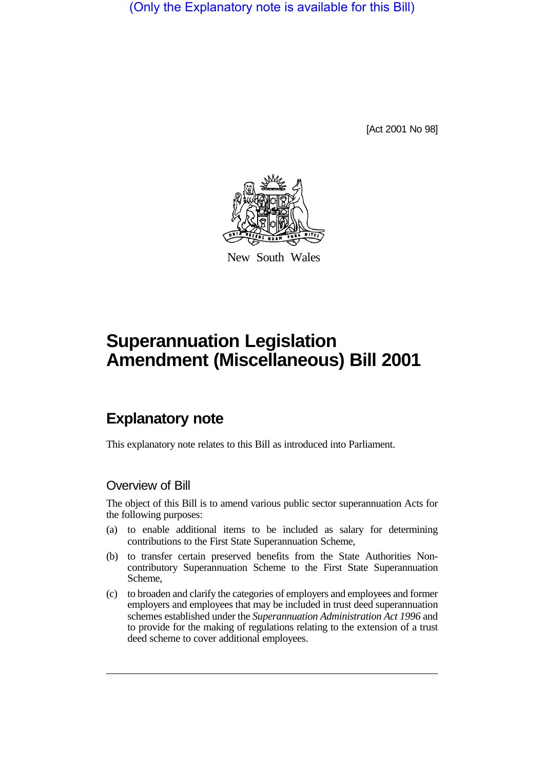(Only the Explanatory note is available for this Bill)

[Act 2001 No 98]



New South Wales

# **Superannuation Legislation Amendment (Miscellaneous) Bill 2001**

## **Explanatory note**

This explanatory note relates to this Bill as introduced into Parliament.

## Overview of Bill

The object of this Bill is to amend various public sector superannuation Acts for the following purposes:

- (a) to enable additional items to be included as salary for determining contributions to the First State Superannuation Scheme,
- (b) to transfer certain preserved benefits from the State Authorities Noncontributory Superannuation Scheme to the First State Superannuation Scheme,
- (c) to broaden and clarify the categories of employers and employees and former employers and employees that may be included in trust deed superannuation schemes established under the *Superannuation Administration Act 1996* and to provide for the making of regulations relating to the extension of a trust deed scheme to cover additional employees.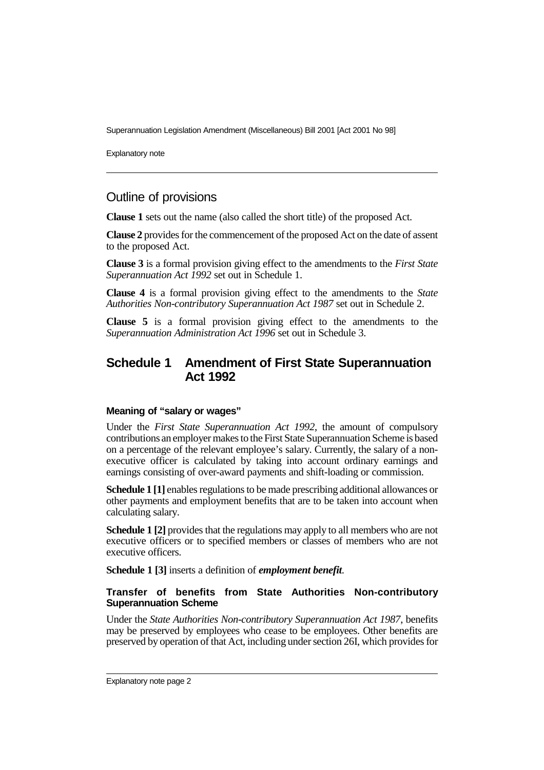Explanatory note

## Outline of provisions

**Clause 1** sets out the name (also called the short title) of the proposed Act.

**Clause 2** provides for the commencement of the proposed Act on the date of assent to the proposed Act.

**Clause 3** is a formal provision giving effect to the amendments to the *First State Superannuation Act 1992* set out in Schedule 1.

**Clause 4** is a formal provision giving effect to the amendments to the *State Authorities Non-contributory Superannuation Act 1987* set out in Schedule 2.

**Clause 5** is a formal provision giving effect to the amendments to the *Superannuation Administration Act 1996* set out in Schedule 3.

### **Schedule 1 Amendment of First State Superannuation Act 1992**

#### **Meaning of "salary or wages"**

Under the *First State Superannuation Act 1992*, the amount of compulsory contributions an employer makes to the First State Superannuation Scheme is based on a percentage of the relevant employee's salary. Currently, the salary of a nonexecutive officer is calculated by taking into account ordinary earnings and earnings consisting of over-award payments and shift-loading or commission.

**Schedule 1 [1]** enables regulations to be made prescribing additional allowances or other payments and employment benefits that are to be taken into account when calculating salary.

**Schedule 1 [2]** provides that the regulations may apply to all members who are not executive officers or to specified members or classes of members who are not executive officers.

**Schedule 1 [3]** inserts a definition of *employment benefit*.

#### **Transfer of benefits from State Authorities Non-contributory Superannuation Scheme**

Under the *State Authorities Non-contributory Superannuation Act 1987*, benefits may be preserved by employees who cease to be employees. Other benefits are preserved by operation of that Act, including under section 26I, which provides for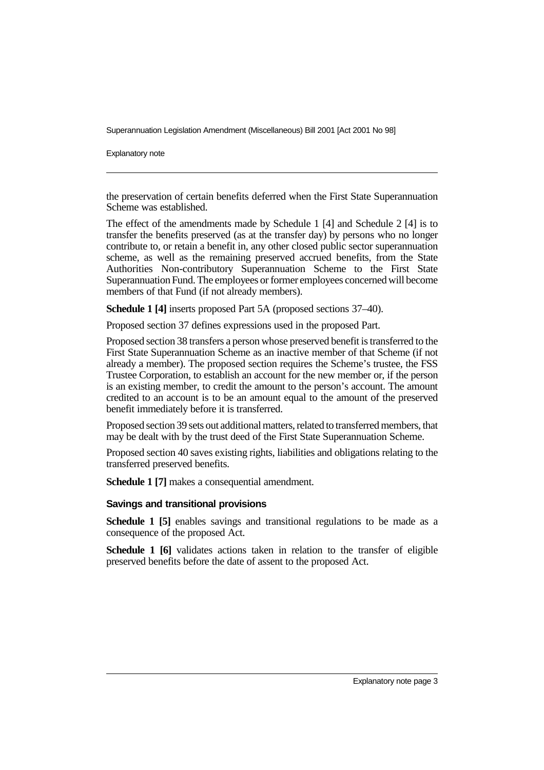Explanatory note

the preservation of certain benefits deferred when the First State Superannuation Scheme was established.

The effect of the amendments made by Schedule 1 [4] and Schedule 2 [4] is to transfer the benefits preserved (as at the transfer day) by persons who no longer contribute to, or retain a benefit in, any other closed public sector superannuation scheme, as well as the remaining preserved accrued benefits, from the State Authorities Non-contributory Superannuation Scheme to the First State Superannuation Fund. The employees or former employees concerned will become members of that Fund (if not already members).

**Schedule 1 [4]** inserts proposed Part 5A (proposed sections 37–40).

Proposed section 37 defines expressions used in the proposed Part.

Proposed section 38 transfers a person whose preserved benefit is transferred to the First State Superannuation Scheme as an inactive member of that Scheme (if not already a member). The proposed section requires the Scheme's trustee, the FSS Trustee Corporation, to establish an account for the new member or, if the person is an existing member, to credit the amount to the person's account. The amount credited to an account is to be an amount equal to the amount of the preserved benefit immediately before it is transferred.

Proposed section 39 sets out additional matters, related to transferred members, that may be dealt with by the trust deed of the First State Superannuation Scheme.

Proposed section 40 saves existing rights, liabilities and obligations relating to the transferred preserved benefits.

**Schedule 1 [7]** makes a consequential amendment.

#### **Savings and transitional provisions**

**Schedule 1 [5]** enables savings and transitional regulations to be made as a consequence of the proposed Act.

**Schedule 1 [6]** validates actions taken in relation to the transfer of eligible preserved benefits before the date of assent to the proposed Act.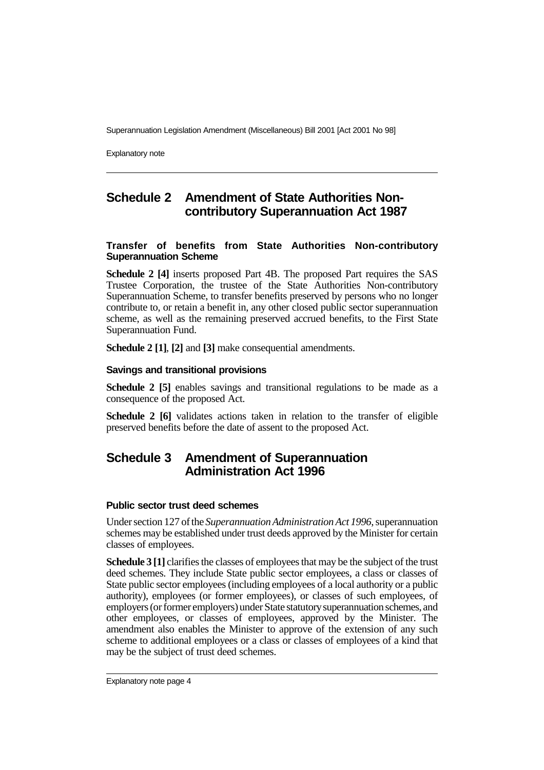Explanatory note

## **Schedule 2 Amendment of State Authorities Noncontributory Superannuation Act 1987**

#### **Transfer of benefits from State Authorities Non-contributory Superannuation Scheme**

**Schedule 2 [4]** inserts proposed Part 4B. The proposed Part requires the SAS Trustee Corporation, the trustee of the State Authorities Non-contributory Superannuation Scheme, to transfer benefits preserved by persons who no longer contribute to, or retain a benefit in, any other closed public sector superannuation scheme, as well as the remaining preserved accrued benefits, to the First State Superannuation Fund.

**Schedule 2 [1]**, **[2]** and **[3]** make consequential amendments.

#### **Savings and transitional provisions**

**Schedule 2 [5]** enables savings and transitional regulations to be made as a consequence of the proposed Act.

**Schedule 2 [6]** validates actions taken in relation to the transfer of eligible preserved benefits before the date of assent to the proposed Act.

## **Schedule 3 Amendment of Superannuation Administration Act 1996**

#### **Public sector trust deed schemes**

Under section 127 of the *Superannuation Administration Act 1996*, superannuation schemes may be established under trust deeds approved by the Minister for certain classes of employees.

**Schedule 3 [1]** clarifies the classes of employees that may be the subject of the trust deed schemes. They include State public sector employees, a class or classes of State public sector employees (including employees of a local authority or a public authority), employees (or former employees), or classes of such employees, of employers (or former employers) under State statutory superannuation schemes, and other employees, or classes of employees, approved by the Minister. The amendment also enables the Minister to approve of the extension of any such scheme to additional employees or a class or classes of employees of a kind that may be the subject of trust deed schemes.